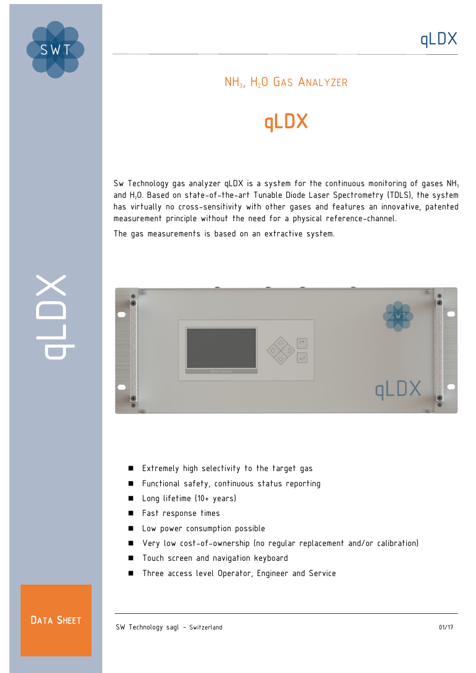

### NH<sub>3</sub>, H<sub>2</sub>O GAS ANALYZER

# qLDX

Sw Technology gas analyzer qLDX is a system for the continuous monitoring of gases  $NH<sub>3</sub>$ and H<sub>2</sub>O. Based on state-of-the-art Tunable Diode Laser Spectrometry (TDLS), the system has virtually no cross-sensitivity with other gases and features an innovative, patented measurement principle without the need for a physical reference-channel.

The gas measurements is based on an extractive system.



- Extremely high selectivity to the target gas
- Functional safety, continuous status reporting
- Long lifetime (10+ years)
- Fast response times
- **Low power consumption possible**
- Very low cost-of-ownership (no regular replacement and/or calibration)
- **Touch screen and navigation keyboard**
- Three access level Operator, Engineer and Service

#### DATA SHEET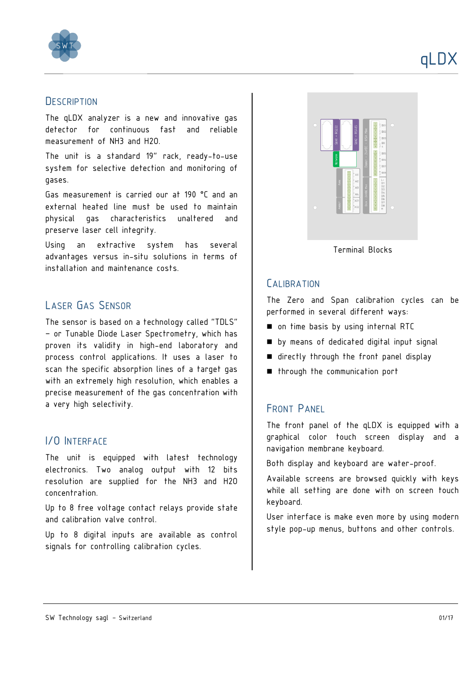

#### **DESCRIPTION**

The qLDX analyzer is a new and innovative gas detector for continuous fast and reliable measurement of NH3 and H2O.

The unit is a standard 19" rack, ready-to-use system for selective detection and monitoring of gases.

Gas measurement is carried our at 190 °C and an external heated line must be used to maintain physical gas characteristics unaltered and preserve laser cell integrity.

Using an extractive system has several advantages versus in-situ solutions in terms of installation and maintenance costs.

#### LASER GAS SENSOR

The sensor is based on a technology called "TDLS" – or Tunable Diode Laser Spectrometry, which has proven its validity in high-end laboratory and process control applications. It uses a laser to scan the specific absorption lines of a target gas with an extremely high resolution, which enables a precise measurement of the gas concentration with a very high selectivity.

#### I/O INTERFACE

The unit is equipped with latest technology electronics. Two analog output with 12 bits resolution are supplied for the NH3 and H2O concentration.

Up to 8 free voltage contact relays provide state and calibration valve control.

Up to 8 digital inputs are available as control signals for controlling calibration cycles.



Terminal Blocks

#### **CALIBRATION**

The Zero and Span calibration cycles can be performed in several different ways:

- on time basis by using internal RTC
- $\blacksquare$  by means of dedicated digital input signal
- $\blacksquare$  directly through the front panel display
- **n** through the communication port

#### FRONT PANEL

The front panel of the qLDX is equipped with a graphical color touch screen display and a navigation membrane keyboard.

Both display and keyboard are water-proof.

Available screens are browsed quickly with keys while all setting are done with on screen touch keyboard.

User interface is make even more by using modern style pop-up menus, buttons and other controls.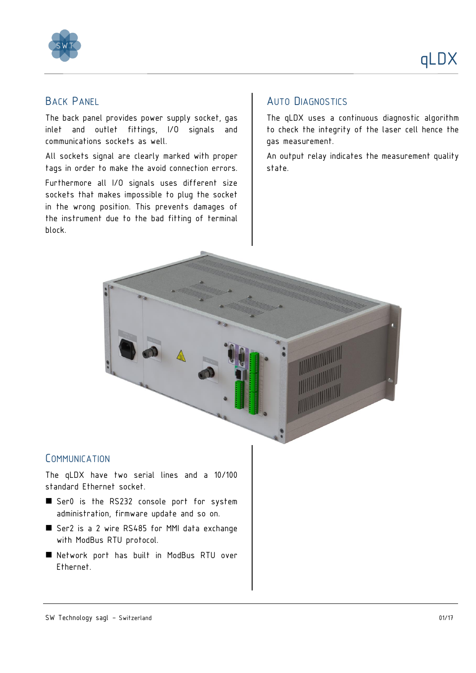



#### BACK PANEL

The back panel provides power supply socket, gas inlet and outlet fittings, I/O signals and communications sockets as well.

All sockets signal are clearly marked with proper tags in order to make the avoid connection errors.

Furthermore all I/O signals uses different size sockets that makes impossible to plug the socket in the wrong position. This prevents damages of the instrument due to the bad fitting of terminal block.

#### AUTO DIAGNOSTICS

The qLDX uses a continuous diagnostic algorithm to check the integrity of the laser cell hence the gas measurement.

An output relay indicates the measurement quality state.



#### **COMMUNICATION**

The qLDX have two serial lines and a 10/100 standard Ethernet socket.

- Ser0 is the RS232 console port for system administration, firmware update and so on.
- Ser2 is a 2 wire RS485 for MMI data exchange with ModBus RTU protocol.
- Network port has built in ModBus RTU over Ethernet.